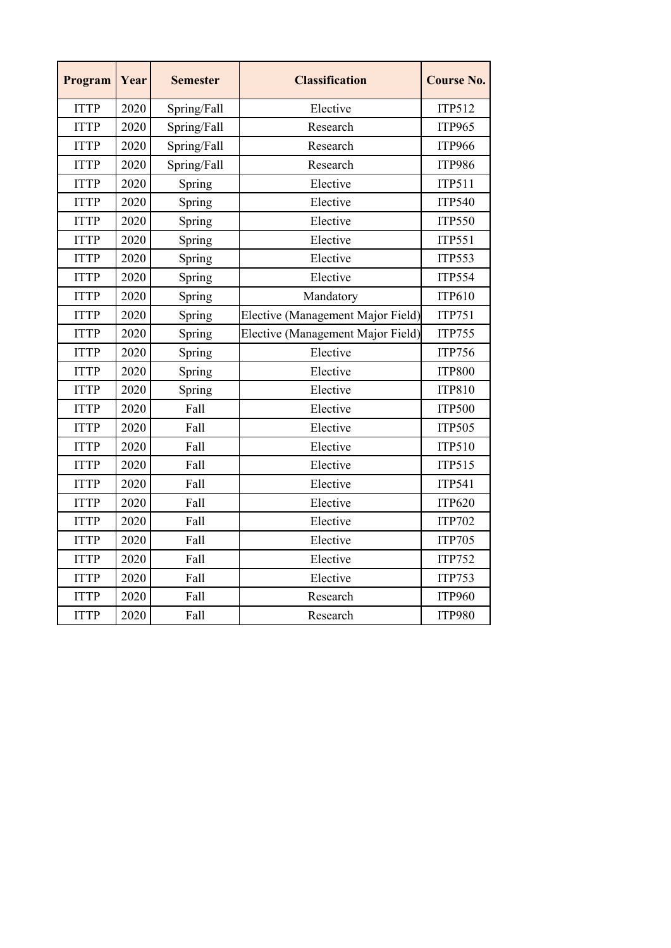| Program     | Year | <b>Semester</b> | <b>Classification</b>             | <b>Course No.</b> |
|-------------|------|-----------------|-----------------------------------|-------------------|
| <b>ITTP</b> | 2020 | Spring/Fall     | Elective                          | <b>ITP512</b>     |
| <b>ITTP</b> | 2020 | Spring/Fall     | Research                          | <b>ITP965</b>     |
| <b>ITTP</b> | 2020 | Spring/Fall     | Research                          | <b>ITP966</b>     |
| <b>ITTP</b> | 2020 | Spring/Fall     | Research                          | <b>ITP986</b>     |
| <b>ITTP</b> | 2020 | Spring          | Elective                          | <b>ITP511</b>     |
| <b>ITTP</b> | 2020 | Spring          | Elective                          | <b>ITP540</b>     |
| <b>ITTP</b> | 2020 | Spring          | Elective                          | <b>ITP550</b>     |
| <b>ITTP</b> | 2020 | Spring          | Elective                          | <b>ITP551</b>     |
| <b>ITTP</b> | 2020 | Spring          | Elective                          | <b>ITP553</b>     |
| <b>ITTP</b> | 2020 | Spring          | Elective                          | <b>ITP554</b>     |
| <b>ITTP</b> | 2020 | Spring          | Mandatory                         | <b>ITP610</b>     |
| <b>ITTP</b> | 2020 | Spring          | Elective (Management Major Field) | <b>ITP751</b>     |
| <b>ITTP</b> | 2020 | Spring          | Elective (Management Major Field) | <b>ITP755</b>     |
| <b>ITTP</b> | 2020 | Spring          | Elective                          | <b>ITP756</b>     |
| <b>ITTP</b> | 2020 | Spring          | Elective                          | <b>ITP800</b>     |
| <b>ITTP</b> | 2020 | Spring          | Elective                          | <b>ITP810</b>     |
| <b>ITTP</b> | 2020 | Fall            | Elective                          | <b>ITP500</b>     |
| <b>ITTP</b> | 2020 | Fall            | Elective                          | <b>ITP505</b>     |
| <b>ITTP</b> | 2020 | Fall            | Elective                          | ITP510            |
| <b>ITTP</b> | 2020 | Fall            | Elective                          | <b>ITP515</b>     |
| <b>ITTP</b> | 2020 | Fall            | Elective                          | <b>ITP541</b>     |
| <b>ITTP</b> | 2020 | Fall            | Elective                          | <b>ITP620</b>     |
| <b>ITTP</b> | 2020 | Fall            | Elective                          | <b>ITP702</b>     |
| <b>ITTP</b> | 2020 | Fall            | Elective                          | <b>ITP705</b>     |
| <b>ITTP</b> | 2020 | Fall            | Elective                          | <b>ITP752</b>     |
| <b>ITTP</b> | 2020 | Fall            | Elective                          | <b>ITP753</b>     |
| <b>ITTP</b> | 2020 | Fall            | Research                          | <b>ITP960</b>     |
| <b>ITTP</b> | 2020 | Fall            | Research                          | <b>ITP980</b>     |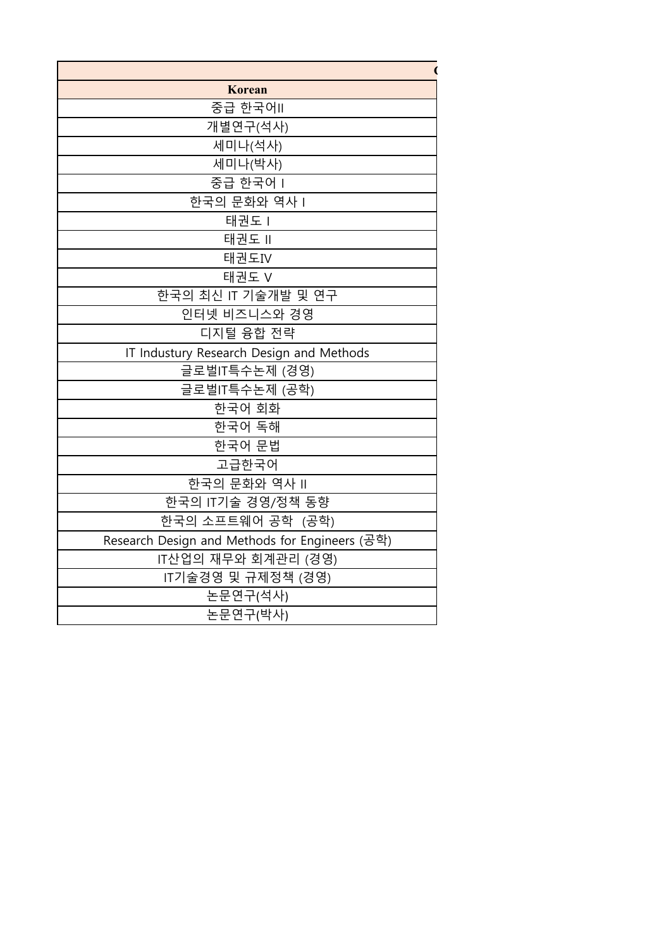| Korean                                         |
|------------------------------------------------|
| 중급 한국어II                                       |
| 개별연구(석사)                                       |
| 세미나(석사)                                        |
| 세미나(박사)                                        |
| 중급 한국어 I                                       |
| 한국의 문화와 역사                                     |
| 태권도 I                                          |
| 태권도 !!                                         |
| 태권도IV                                          |
| 태권도 V                                          |
| 한국의 최신 IT 기술개발 및 연구                            |
| 인터넷 비즈니스와 경영                                   |
| 디지털 융합 전략                                      |
| IT Industury Research Design and Methods       |
| 글로벌IT특수논제 (경영)                                 |
| 글로벌IT특수논제 (공학)                                 |
| 한국어 회화                                         |
| 한국어 독해                                         |
| 한국어 문법                                         |
| 고급한국어                                          |
| 한국의 문화와 역사 II                                  |
| 한국의 IT기술 경영/정책 동향                              |
| 한국의 소프트웨어 공학 (공학)                              |
| Research Design and Methods for Engineers (공학) |
| IT산업의 재무와 회계관리 (경영)                            |
| IT기술경영 및 규제정책 (경영)                             |
| 논문연구(석사)                                       |
| 논문연구(박사)                                       |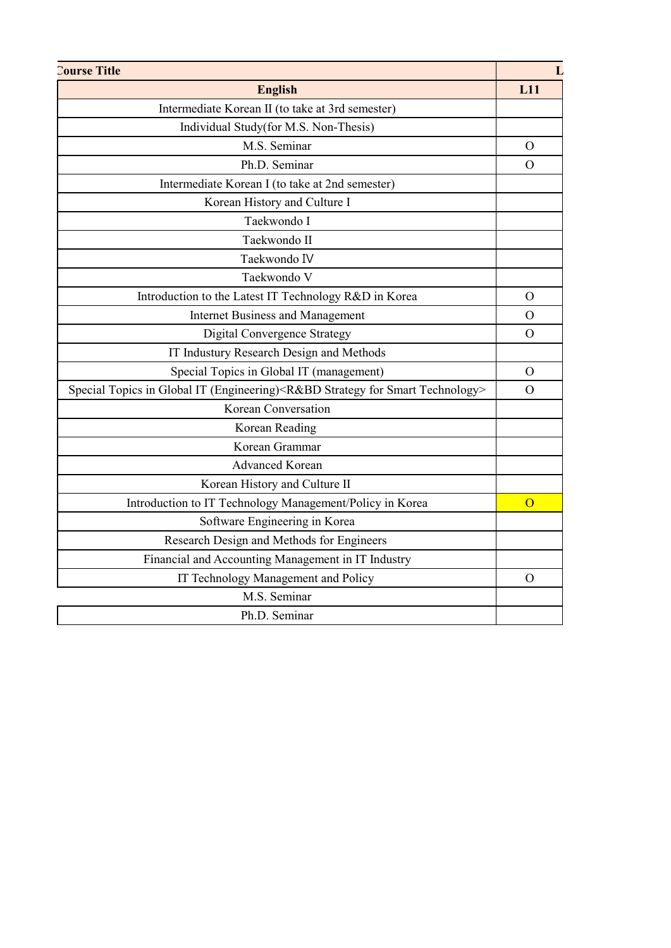| <b>Course Title</b>                                                                               |          |  |  |  |  |
|---------------------------------------------------------------------------------------------------|----------|--|--|--|--|
| <b>English</b>                                                                                    |          |  |  |  |  |
| Intermediate Korean II (to take at 3rd semester)                                                  |          |  |  |  |  |
| Individual Study(for M.S. Non-Thesis)                                                             |          |  |  |  |  |
| M.S. Seminar                                                                                      |          |  |  |  |  |
| Ph.D. Seminar                                                                                     |          |  |  |  |  |
| Intermediate Korean I (to take at 2nd semester)                                                   |          |  |  |  |  |
| Korean History and Culture I                                                                      |          |  |  |  |  |
| Taekwondo I                                                                                       |          |  |  |  |  |
| Taekwondo II                                                                                      |          |  |  |  |  |
| Taekwondo IV                                                                                      |          |  |  |  |  |
| Taekwondo V                                                                                       |          |  |  |  |  |
| Introduction to the Latest IT Technology R&D in Korea                                             |          |  |  |  |  |
| <b>Internet Business and Management</b>                                                           |          |  |  |  |  |
| <b>Digital Convergence Strategy</b>                                                               |          |  |  |  |  |
| IT Industury Research Design and Methods                                                          |          |  |  |  |  |
| Special Topics in Global IT (management)                                                          | $\Omega$ |  |  |  |  |
| Special Topics in Global IT (Engineering) <r&bd for="" smart="" strategy="" technology=""></r&bd> |          |  |  |  |  |
| Korean Conversation                                                                               |          |  |  |  |  |
| Korean Reading                                                                                    |          |  |  |  |  |
| Korean Grammar                                                                                    |          |  |  |  |  |
| <b>Advanced Korean</b>                                                                            |          |  |  |  |  |
| Korean History and Culture II                                                                     |          |  |  |  |  |
| Introduction to IT Technology Management/Policy in Korea                                          | $\Omega$ |  |  |  |  |
| Software Engineering in Korea                                                                     |          |  |  |  |  |
| Research Design and Methods for Engineers                                                         |          |  |  |  |  |
| Financial and Accounting Management in IT Industry                                                |          |  |  |  |  |
| IT Technology Management and Policy                                                               |          |  |  |  |  |
| M.S. Seminar                                                                                      |          |  |  |  |  |
| Ph.D. Seminar                                                                                     |          |  |  |  |  |